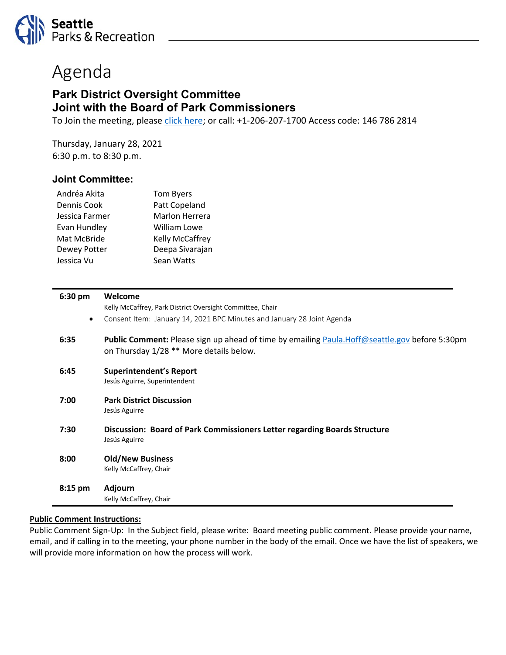

# Agenda

# **Park District Oversight Committee Joint with the Board of Park Commissioners**

To Join the meeting, please [click here;](https://seattle.webex.com/seattle/onstage/g.php?MTID=ef0df9b6ff20233170e13d620d31bc69e) or call: +1-206-207-1700 Access code: 146 786 2814

Thursday, January 28, 2021 6:30 p.m. to 8:30 p.m.

# **Joint Committee:**

| <b>Tom Byers</b>    |
|---------------------|
| Patt Copeland       |
| Marlon Herrera      |
| <b>William Lowe</b> |
| Kelly McCaffrey     |
| Deepa Sivarajan     |
| Sean Watts          |
|                     |

| 6:30 pm           | Welcome                                                                                                                                                |
|-------------------|--------------------------------------------------------------------------------------------------------------------------------------------------------|
|                   | Kelly McCaffrey, Park District Oversight Committee, Chair                                                                                              |
| $\bullet$         | Consent Item: January 14, 2021 BPC Minutes and January 28 Joint Agenda                                                                                 |
| 6:35              | <b>Public Comment:</b> Please sign up ahead of time by emailing <b>Paula.Hoff@seattle.gov</b> before 5:30pm<br>on Thursday 1/28 ** More details below. |
| 6:45              | <b>Superintendent's Report</b><br>Jesús Aguirre, Superintendent                                                                                        |
| 7:00              | <b>Park District Discussion</b><br>Jesús Aguirre                                                                                                       |
| 7:30              | Discussion: Board of Park Commissioners Letter regarding Boards Structure<br>Jesús Aguirre                                                             |
| 8:00              | <b>Old/New Business</b><br>Kelly McCaffrey, Chair                                                                                                      |
| $8:15 \text{ pm}$ | <b>Adjourn</b>                                                                                                                                         |
|                   | Kelly McCaffrey, Chair                                                                                                                                 |

#### **Public Comment Instructions:**

Public Comment Sign-Up: In the Subject field, please write: Board meeting public comment. Please provide your name, email, and if calling in to the meeting, your phone number in the body of the email. Once we have the list of speakers, we will provide more information on how the process will work.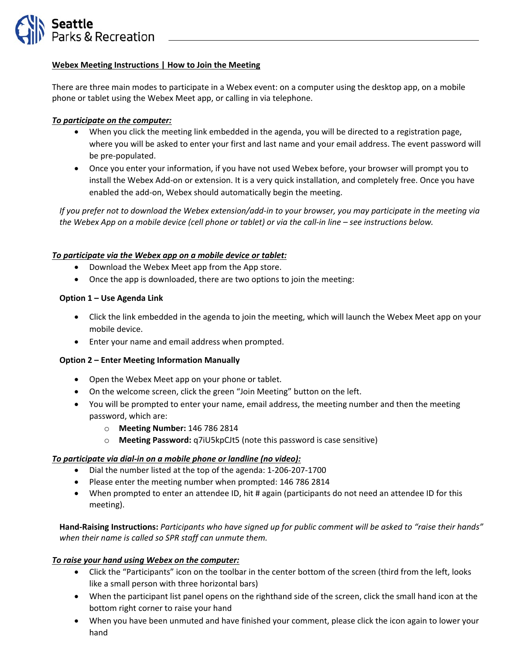

#### **Webex Meeting Instructions | How to Join the Meeting**

There are three main modes to participate in a Webex event: on a computer using the desktop app, on a mobile phone or tablet using the Webex Meet app, or calling in via telephone.

## *To participate on the computer:*

- When you click the meeting link embedded in the agenda, you will be directed to a registration page, where you will be asked to enter your first and last name and your email address. The event password will be pre-populated.
- Once you enter your information, if you have not used Webex before, your browser will prompt you to install the Webex Add-on or extension. It is a very quick installation, and completely free. Once you have enabled the add-on, Webex should automatically begin the meeting.

*If you prefer not to download the Webex extension/add-in to your browser, you may participate in the meeting via the Webex App on a mobile device (cell phone or tablet) or via the call-in line – see instructions below.*

### *To participate via the Webex app on a mobile device or tablet:*

- Download the Webex Meet app from the App store.
- Once the app is downloaded, there are two options to join the meeting:

#### **Option 1 – Use Agenda Link**

- Click the link embedded in the agenda to join the meeting, which will launch the Webex Meet app on your mobile device.
- Enter your name and email address when prompted.

#### **Option 2 – Enter Meeting Information Manually**

- Open the Webex Meet app on your phone or tablet.
- On the welcome screen, click the green "Join Meeting" button on the left.
- You will be prompted to enter your name, email address, the meeting number and then the meeting password, which are:
	- o **Meeting Number:** 146 786 2814
	- o **Meeting Password:** q7iU5kpCJt5 (note this password is case sensitive)

#### *To participate via dial-in on a mobile phone or landline (no video):*

- Dial the number listed at the top of the agenda: 1-206-207-1700
- Please enter the meeting number when prompted: 146 786 2814
- When prompted to enter an attendee ID, hit # again (participants do not need an attendee ID for this meeting).

**Hand-Raising Instructions:** *Participants who have signed up for public comment will be asked to "raise their hands" when their name is called so SPR staff can unmute them.*

#### *To raise your hand using Webex on the computer:*

- Click the "Participants" icon on the toolbar in the center bottom of the screen (third from the left, looks like a small person with three horizontal bars)
- When the participant list panel opens on the righthand side of the screen, click the small hand icon at the bottom right corner to raise your hand
- When you have been unmuted and have finished your comment, please click the icon again to lower your hand